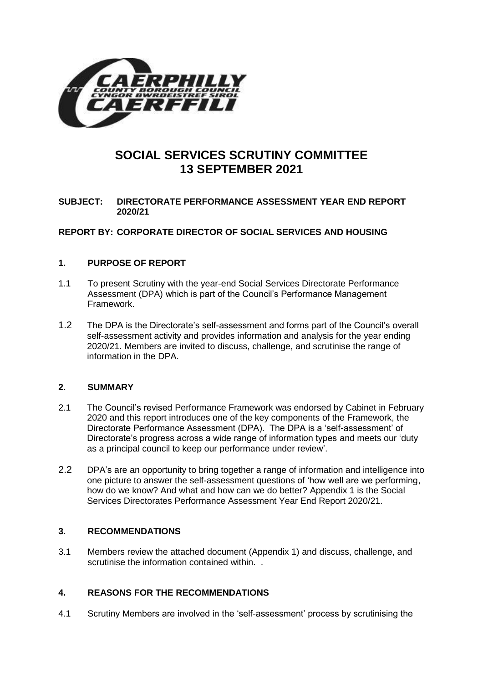

# **SOCIAL SERVICES SCRUTINY COMMITTEE 13 SEPTEMBER 2021**

# **SUBJECT: DIRECTORATE PERFORMANCE ASSESSMENT YEAR END REPORT 2020/21**

# **REPORT BY: CORPORATE DIRECTOR OF SOCIAL SERVICES AND HOUSING**

## **1. PURPOSE OF REPORT**

- 1.1 To present Scrutiny with the year-end Social Services Directorate Performance Assessment (DPA) which is part of the Council's Performance Management Framework.
- 1.2 The DPA is the Directorate's self-assessment and forms part of the Council's overall self-assessment activity and provides information and analysis for the year ending 2020/21. Members are invited to discuss, challenge, and scrutinise the range of information in the DPA.

#### **2. SUMMARY**

- 2.1 The Council's revised Performance Framework was endorsed by Cabinet in February 2020 and this report introduces one of the key components of the Framework, the Directorate Performance Assessment (DPA). The DPA is a 'self-assessment' of Directorate's progress across a wide range of information types and meets our 'duty as a principal council to keep our performance under review'.
- 2.2 DPA's are an opportunity to bring together a range of information and intelligence into one picture to answer the self-assessment questions of 'how well are we performing, how do we know? And what and how can we do better? Appendix 1 is the Social Services Directorates Performance Assessment Year End Report 2020/21.

# **3. RECOMMENDATIONS**

3.1 Members review the attached document (Appendix 1) and discuss, challenge, and scrutinise the information contained within.

# **4. REASONS FOR THE RECOMMENDATIONS**

4.1 Scrutiny Members are involved in the 'self-assessment' process by scrutinising the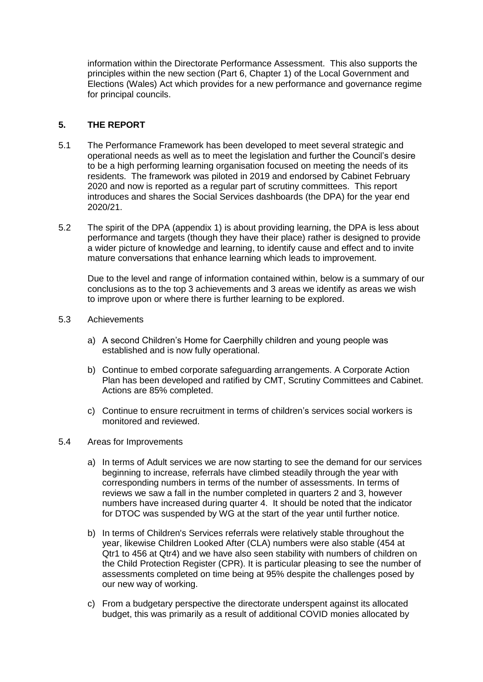information within the Directorate Performance Assessment. This also supports the principles within the new section (Part 6, Chapter 1) of the Local Government and Elections (Wales) Act which provides for a new performance and governance regime for principal councils.

## **5. THE REPORT**

- 5.1 The Performance Framework has been developed to meet several strategic and operational needs as well as to meet the legislation and further the Council's desire to be a high performing learning organisation focused on meeting the needs of its residents. The framework was piloted in 2019 and endorsed by Cabinet February 2020 and now is reported as a regular part of scrutiny committees. This report introduces and shares the Social Services dashboards (the DPA) for the year end 2020/21.
- 5.2 The spirit of the DPA (appendix 1) is about providing learning, the DPA is less about performance and targets (though they have their place) rather is designed to provide a wider picture of knowledge and learning, to identify cause and effect and to invite mature conversations that enhance learning which leads to improvement.

Due to the level and range of information contained within, below is a summary of our conclusions as to the top 3 achievements and 3 areas we identify as areas we wish to improve upon or where there is further learning to be explored.

- 5.3 Achievements
	- a) A second Children's Home for Caerphilly children and young people was established and is now fully operational.
	- b) Continue to embed corporate safeguarding arrangements. A Corporate Action Plan has been developed and ratified by CMT, Scrutiny Committees and Cabinet. Actions are 85% completed.
	- c) Continue to ensure recruitment in terms of children's services social workers is monitored and reviewed.
- 5.4 Areas for Improvements
	- a) In terms of Adult services we are now starting to see the demand for our services beginning to increase, referrals have climbed steadily through the year with corresponding numbers in terms of the number of assessments. In terms of reviews we saw a fall in the number completed in quarters 2 and 3, however numbers have increased during quarter 4. It should be noted that the indicator for DTOC was suspended by WG at the start of the year until further notice.
	- b) In terms of Children's Services referrals were relatively stable throughout the year, likewise Children Looked After (CLA) numbers were also stable (454 at Qtr1 to 456 at Qtr4) and we have also seen stability with numbers of children on the Child Protection Register (CPR). It is particular pleasing to see the number of assessments completed on time being at 95% despite the challenges posed by our new way of working.
	- c) From a budgetary perspective the directorate underspent against its allocated budget, this was primarily as a result of additional COVID monies allocated by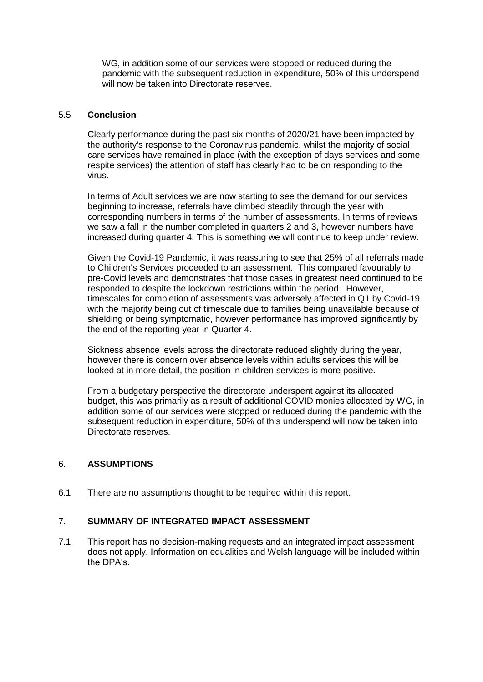WG, in addition some of our services were stopped or reduced during the pandemic with the subsequent reduction in expenditure, 50% of this underspend will now be taken into Directorate reserves.

## 5.5 **Conclusion**

Clearly performance during the past six months of 2020/21 have been impacted by the authority's response to the Coronavirus pandemic, whilst the majority of social care services have remained in place (with the exception of days services and some respite services) the attention of staff has clearly had to be on responding to the virus.

In terms of Adult services we are now starting to see the demand for our services beginning to increase, referrals have climbed steadily through the year with corresponding numbers in terms of the number of assessments. In terms of reviews we saw a fall in the number completed in quarters 2 and 3, however numbers have increased during quarter 4. This is something we will continue to keep under review.

Given the Covid-19 Pandemic, it was reassuring to see that 25% of all referrals made to Children's Services proceeded to an assessment. This compared favourably to pre-Covid levels and demonstrates that those cases in greatest need continued to be responded to despite the lockdown restrictions within the period. However, timescales for completion of assessments was adversely affected in Q1 by Covid-19 with the majority being out of timescale due to families being unavailable because of shielding or being symptomatic, however performance has improved significantly by the end of the reporting year in Quarter 4.

Sickness absence levels across the directorate reduced slightly during the year, however there is concern over absence levels within adults services this will be looked at in more detail, the position in children services is more positive.

From a budgetary perspective the directorate underspent against its allocated budget, this was primarily as a result of additional COVID monies allocated by WG, in addition some of our services were stopped or reduced during the pandemic with the subsequent reduction in expenditure, 50% of this underspend will now be taken into Directorate reserves.

#### 6. **ASSUMPTIONS**

6.1 There are no assumptions thought to be required within this report.

## 7. **SUMMARY OF INTEGRATED IMPACT ASSESSMENT**

7.1 This report has no decision-making requests and an integrated impact assessment does not apply. Information on equalities and Welsh language will be included within the DPA's.